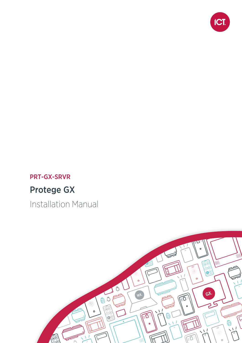

## PRT-GX-SRVR

# Protege GX

Installation Manual

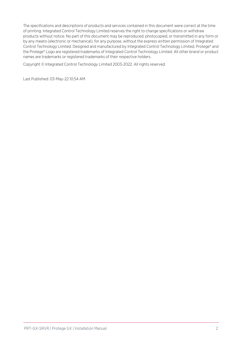The specifications and descriptions of products and services contained in this document were correct at the time of printing. Integrated Control Technology Limited reserves the right to change specifications or withdraw products without notice. No part of this document may be reproduced, photocopied, or transmitted in any form or by any means (electronic or mechanical), for any purpose, without the express written permission of Integrated Control Technology Limited. Designed and manufactured by Integrated Control Technology Limited, Protege® and the Protege® Logo are registered trademarks of Integrated Control Technology Limited. All other brand or product names are trademarks or registered trademarks of their respective holders.

Copyright © Integrated Control Technology Limited 2003-2022. All rights reserved.

Last Published: 03-May-22 10:54 AM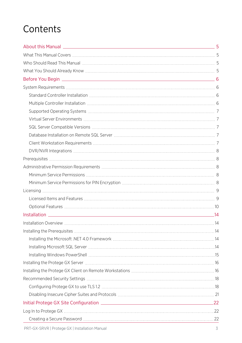# **Contents**

| 22 |  |
|----|--|
|    |  |
|    |  |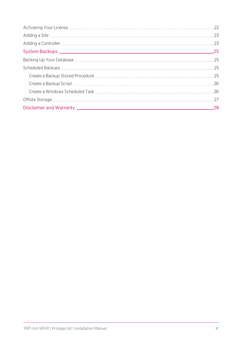| -28 |
|-----|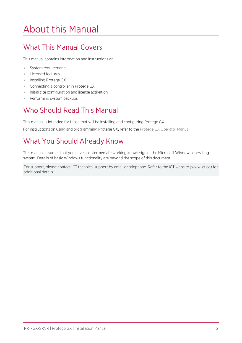# <span id="page-4-0"></span>About this Manual

# <span id="page-4-1"></span>What This Manual Covers

This manual contains information and instructions on:

- ⦁ System requirements
- ⦁ Licensed features
- ⦁ Installing Protege GX
- ⦁ Connecting a controller in Protege GX
- ⦁ Initial site configuration and license activation
- <span id="page-4-2"></span>⦁ Performing system backups

# Who Should Read This Manual

This manual is intended for those that will be installing and configuring Protege GX.

<span id="page-4-3"></span>For instructions on using and programming Protege GX, refer to the Protege GX Operator Manual.

# What You Should Already Know

This manual assumes that you have an intermediate working knowledge of the Microsoft Windows operating system. Details of basic Windows functionality are beyond the scope of this document.

For support, please contact ICT technical support by email or telephone. Refer to the ICT website (www.ict.co) for additional details.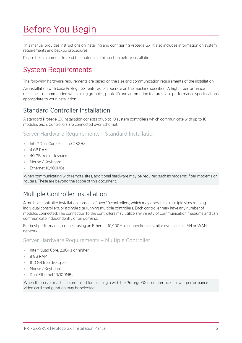# <span id="page-5-0"></span>Before You Begin

This manual provides instructions on installing and configuring Protege GX. It also includes information on system requirements and backup procedures.

<span id="page-5-1"></span>Please take a moment to read the material in this section before installation.

# System Requirements

The following hardware requirements are based on the size and communication requirements of the installation.

An installation with base Protege GX features can operate on the machine specified. A higher performance machine is recommended when using graphics, photo ID and automation features. Use performance specifications appropriate to your installation.

### <span id="page-5-2"></span>Standard Controller Installation

A standard Protege GX installation consists of up to 10 system controllers which communicate with up to 16 modules each. Controllers are connected over Ethernet.

Server Hardware Requirements – Standard Installation

- ⦁ Intel® Dual Core Machine 2.8GHz
- ⦁ 4 GB RAM
- ⦁ 40 GB free disk space
- ⦁ Mouse / Keyboard
- ⦁ Ethernet 10/100MBs

<span id="page-5-3"></span>When communicating with remote sites, additional hardware may be required such as modems, fiber modems or routers. These are beyond the scope of this document.

### Multiple Controller Installation

A multiple controller installation consists of over 10 controllers, which may operate as multiple sites running individual controllers, or a single site running multiple controllers. Each controller may have any number of modules connected. The connection to the controllers may utilize any variety of communication mediums and can communicate independently or on demand.

For best performance, connect using an Ethernet 10/100Mbs connection or similar over a local LAN or WAN network.

Server Hardware Requirements – Multiple Controller

- ⦁ Intel® Quad Core, 2.8GHz or higher
- ⦁ 8 GB RAM
- ⦁ 100 GB free disk space
- ⦁ Mouse / Keyboard
- ⦁ Dual Ethernet 10/100MBs

When the server machine is not used for local login with the Protege GX user interface, a lower performance video card configuration may be selected.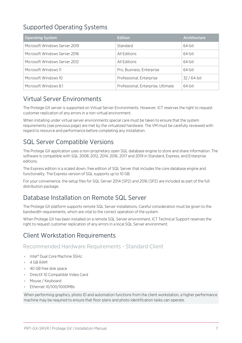## <span id="page-6-0"></span>Supported Operating Systems

| <b>Operating System</b>       | <b>Edition</b>                     | Architecture |
|-------------------------------|------------------------------------|--------------|
| Microsoft Windows Server 2019 | Standard                           | 64-bit       |
| Microsoft Windows Server 2016 | All Editions                       | 64-bit       |
| Microsoft Windows Server 2012 | All Editions                       | 64-bit       |
| Microsoft Windows 11          | Pro, Business, Enterprise          | 64-bit       |
| Microsoft Windows 10          | Professional, Enterprise           | $32/64$ -bit |
| Microsoft Windows 8.1         | Professional, Enterprise, Ultimate | 64-bit       |

### <span id="page-6-1"></span>Virtual Server Environments

The Protege GX server is supported on Virtual Server Environments. However, ICT reserves the right to request customer replication of any errors in a non-virtual environment.

When installing under virtual server environments special care must be taken to ensure that the system requirements (see [previous](#page-5-1) page) are met by the virtualized hardware. The VM must be carefully reviewed with regard to resource and performance before completing any installation.

### <span id="page-6-2"></span>SQL Server Compatible Versions

The Protege GX application uses a non-proprietary open SQL database engine to store and share information. The software is compatible with SQL 2008, 2012, 2014, 2016, 2017 and 2019 in Standard, Express, and Enterprise editions.

The Express edition is a scaled down, free edition of SQL Server that includes the core database engine and functionality. The Express version of SQL supports up to 10 GB.

<span id="page-6-3"></span>For your convenience, the setup files for SQL Server 2014 (SP2) and 2016 (SP2) are included as part of the full distribution package.

### Database Installation on Remote SQL Server

The Protege GX platform supports remote SQL Server installations. Careful consideration must be given to the bandwidth requirements, which are vital to the correct operation of the system.

<span id="page-6-4"></span>When Protege GX has been installed on a remote SQL Server environment, ICT Technical Support reserves the right to request customer replication of any errors in a local SQL Server environment.

### Client Workstation Requirements

Recommended Hardware Requirements - Standard Client

- ⦁ Intel® Dual Core Machine 3GHz
- ⦁ 4 GB RAM
- ⦁ 40 GB free disk space
- ⦁ DirectX 10 Compatible Video Card
- ⦁ Mouse / Keyboard
- ⦁ Ethernet 10/100/1000MBs

When performing graphics, photo ID and automation functions from the client workstation, a higher performance machine may be required to ensure that floor plans and photo identification tasks can operate.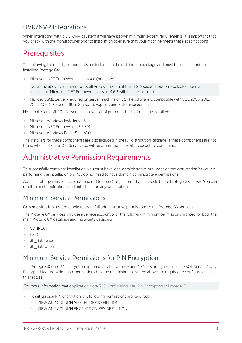### <span id="page-7-0"></span>DVR/NVR Integrations

<span id="page-7-1"></span>When integrating with a DVR/NVR system it will have its own minimum system requirements. It is important that you check with the manufacturer prior to installation to ensure that your machine meets these specifications.

# **Prerequisites**

The following third party components are included in the distribution package and must be installed prior to installing Protege GX:

⦁ Microsoft .NET Framework version 4.0 (or higher)

Note: The above is required to install Protege GX, but if the TLS1.2 security option is selected during installation Microsoft .NET Framework version 4.6.2 will then be installed.

Microsoft SQL Server (required on server machine only): The software is compatible with SQL 2008, 2012, 2014, 2016, 2017 and 2019 in Standard, Express, and Enterprise editions.

Note that Microsoft SQL Server has its own set of prerequisites that must be installed:

- ⦁ Microsoft Windows Installer v4.5
- Microsoft .NET Framework v3.5 SP1
- Microsoft Windows PowerShell v1.0

<span id="page-7-2"></span>The installers for these components are also included in the full distribution package. If these components are not found when installing SQL Server, you will be prompted to install these before continuing.

# Administrative Permission Requirements

To successfully complete installation, you must have local administrative privileges on the workstation(s) you are performing the installation on. You do not need to have domain administrative permissions.

<span id="page-7-3"></span>Administrator permissions are not required to open (run) a client that connects to the Protege GX server. You can run the client application as a limited user on any workstation.

### Minimum Service Permissions

On some sites it is not preferable to grant full administrative permissions to the Protege GX services.

The Protege GX services may use a service account with the following minimum permissions granted for both the main Protege GX database and the events database:

- ⦁ CONNECT
- ⦁ EXEC
- ⦁ db\_datareader
- <span id="page-7-4"></span>⦁ db\_datawriter

### Minimum Service Permissions for PIN Encryption

The Protege GX user PIN encryption option (available with version 4.3.291.6 or higher) uses the SQL Server Always Encrypted feature. Additional permissions beyond the minimums stated above are required to configure and use this feature.

For more information, see Application Note 306: Configuring User PIN Encryption in Protege GX.

- To set up user PIN encryption, the following permissions are required:
	- VIEW ANY COLUMN MASTER KEY DEFINITION
	- VIEW ANY COLUMN ENCRYPTION KEY DEFINITION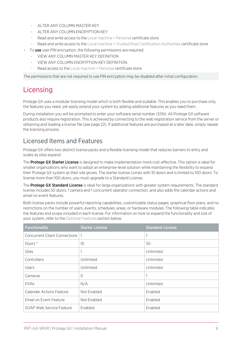- ALTER ANY COLUMN MASTER KEY
- ALTER ANY COLUMN ENCRYPTION KEY
- Read and write access to the Local machine > Personal certificate store
- Read and write access to the Local machine > Trusted Root Certification Authorities certificate store
- To use user PIN encryption, the following permissions are required:
	- VIEW ANY COLUMN MASTER KEY DEFINITION
	- VIEW ANY COLUMN ENCRYPTION KEY DEFINITION
	- Read access to the Local machine > Personal certificate store

<span id="page-8-0"></span>The permissions that are not required to use PIN encryption may be disabled after initial configuration.

# Licensing

Protege GX uses a modular licensing model which is both flexible and scalable. This enables you to purchase only the features you need, yet easily extend your system by adding additional features as you need them.

During installation you will be prompted to enter your software serial number (SSN). All Protege GX software products also require registration. This is achieved by connecting to the web registration service from the server or obtaining and loading a license file (see [page 22\).](#page-21-3) If additional features are purchased at a later date, simply repeat the licensing process.

### <span id="page-8-1"></span>Licensed Items and Features

Protege GX offers two distinct license packs and a flexible licensing model that reduces barriers to entry and scales as sites expand.

The **Protege GX Starter License** is designed to make implementation more cost-effective. This option is ideal for smaller organizations who want to adopt an enterprise-level solution while maintaining the flexibility to expand their Protege GX system as their site grows. The starter license comes with 10 doors and is limited to 100 doors. To license more than 100 doors, you must upgrade to a Standard License.

The **Protege GX Standard License** is ideal for large organizations with greater system requirements. The standard license includes 50 doors, 1 camera and 1 concurrent operator connection, and also adds the calendar actions and email on event features.

Both license packs include powerful reporting capabilities, customizable status pages, graphical floor plans, and no restrictions on the number of users, events, schedules, areas, or hardware modules. The following table indicates the features and scope included in each license. For information on how to expand the functionality and size of your system, refer to the Optional Features section below.

| <b>Functionality</b>                 | <b>Starter License</b> | <b>Standard License</b> |
|--------------------------------------|------------------------|-------------------------|
| <b>Concurrent Client Connections</b> |                        |                         |
| Doors*                               | 10                     | 50                      |
| <b>Sites</b>                         |                        | Unlimited               |
| Controllers                          | Unlimited              | Unlimited               |
| <b>Users</b>                         | Unlimited              | Unlimited               |
| Cameras                              | $\Omega$               |                         |
| <b>DVRs</b>                          | N/A                    | Unlimited               |
| <b>Calendar Actions Feature</b>      | Not Enabled            | Enabled                 |
| Email on Event Feature               | Not Enabled            | Enabled                 |
| SOAP Web Service Feature             | Enabled                | Enabled                 |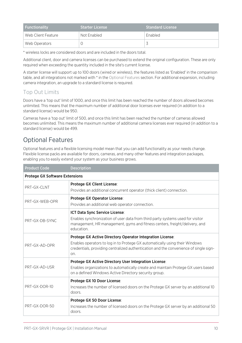| <b>Functionality</b> | <b>Starter License</b> | <b>Standard License</b> |
|----------------------|------------------------|-------------------------|
| Web Client Feature   | Not Enabled            | Enabled                 |
| Web Operators        |                        |                         |

\* wireless locks are considered doors and are included in the doors total.

Additional client, door and camera licenses can be purchased to extend the original configuration. These are only required when exceeding the quantity included in the site's current license.

A starter license will support up to 100 doors (wired or wireless), the features listed as 'Enabled' in the comparison table, and all integrations not marked with \* in the Optional Features section. For additional expansion, including camera integration, an upgrade to a standard license is required.

### Top Out Limits

Doors have a 'top out' limit of 1000, and once this limit has been reached the number of doors allowed becomes unlimited. This means that the maximum number of additional door licenses ever required (in addition to a standard license) would be 950.

Cameras have a 'top out' limit of 500, and once this limit has been reached the number of cameras allowed becomes unlimited. This means the maximum number of additional camera licenses ever required (in addition to a standard license) would be 499.

## <span id="page-9-0"></span>Optional Features

Optional features and a flexible licensing model mean that you can add functionality as your needs change. Flexible license packs are available for doors, cameras, and many other features and integration packages, enabling you to easily extend your system as your business grows.

| <b>Product Code</b>                   | <b>Description</b>                                                                                                                                                                                                                       |
|---------------------------------------|------------------------------------------------------------------------------------------------------------------------------------------------------------------------------------------------------------------------------------------|
| <b>Protege GX Software Extensions</b> |                                                                                                                                                                                                                                          |
| PRT-GX-CLNT                           | Protege GX Client License:<br>Provides an additional concurrent operator (thick client) connection.                                                                                                                                      |
| PRT-GX-WEB-OPR                        | Protege GX Operator License:<br>Provides an additional web operator connection.                                                                                                                                                          |
| PRT-GX-DB-SYNC                        | ICT Data Sync Service License:<br>Enables synchronization of user data from third party systems used for visitor<br>management, HR management, gyms and fitness centers, freight/delivery, and<br>education.                             |
| PRT-GX-AD-OPR                         | Protege GX Active Directory Operator Integration License:<br>Enables operators to log in to Protege GX automatically using their Windows<br>credentials, providing centralized authentication and the convenience of single sign-<br>on. |
| PRT-GX-AD-USR                         | Protege GX Active Directory User Integration License:<br>Enables organizations to automatically create and maintain Protege GX users based<br>on a defined Windows Active Directory security group.                                      |
| PRT-GX-DOR-10                         | Protege GX 10 Door License:<br>Increases the number of licensed doors on the Protege GX server by an additional 10<br>doors.                                                                                                             |
| PRT-GX-DOR-50                         | Protege GX 50 Door License:<br>Increases the number of licensed doors on the Protege GX server by an additional 50<br>doors.                                                                                                             |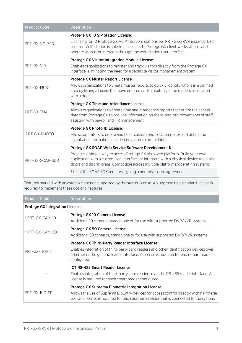| <b>Product Code</b> | <b>Description</b>                                                                                                                                                                                                                                                                                                                                                                      |
|---------------------|-----------------------------------------------------------------------------------------------------------------------------------------------------------------------------------------------------------------------------------------------------------------------------------------------------------------------------------------------------------------------------------------|
| PRT-GX-VOIP-10      | Protege GX 10 SIP Station License:<br>Licensing for 10 Protege GX VoIP intercom stations per PRT-GX-SRVR instance. Each<br>licensed VoIP station is able to make calls to Protege GX client workstations, and<br>operate as master intercom through the workstation user interface.                                                                                                     |
| PRT-GX-VIM          | Protege GX Visitor Integration Module License:<br>Enables organizations to register and track visitors directly from the Protege GX<br>interface, eliminating the need for a separate visitor management system.                                                                                                                                                                        |
| PRT-GX-MUST         | Protege GX Muster Report License:<br>Allows organizations to create muster reports to quickly identify who is in a defined<br>area by listing all users that have entered and/or exited via the readers associated<br>with a door.                                                                                                                                                      |
| PRT-GX-TNA          | Protege GX Time and Attendance License:<br>Allows organizations to create time and attendance reports that utilize the access<br>data from Protege GX to provide information on the in-and-out movements of staff,<br>assisting with payroll and HR management.                                                                                                                         |
| PRT-GX-PHOTO        | Protege GX Photo ID License:<br>Allows operators to create and tailor custom photo ID templates and define the<br>layout and information included on a user's card or label.                                                                                                                                                                                                            |
| PRT-GX-SOAP-SDK     | Protege GX SOAP Web Service Software Development Kit:<br>Provides a simple way to access Protege GX via a web platform. Build your own<br>application with a customized interface, or integrate with a physical device to unlock<br>doors and disarm areas. Compatible across multiple platforms/operating systems.<br>Use of the SOAP SDK requires signing a non-disclosure agreement. |

Features marked with an asterisk \* are not supported by the starter license. An upgrade to a standard license is required to implement these optional features.

| <b>Product Code</b>                    | <b>Description</b>                                                                                                                                                                                                                                |
|----------------------------------------|---------------------------------------------------------------------------------------------------------------------------------------------------------------------------------------------------------------------------------------------------|
| <b>Protege GX Integration Licenses</b> |                                                                                                                                                                                                                                                   |
| * PRT-GX-CAM-10                        | Protege GX 10 Camera License:<br>Additional 10 cameras, standalone or for use with supported DVR/NVR systems.                                                                                                                                     |
| $*$ PRT-GX-CAM-50                      | Protege GX 50 Camera License:<br>Additional 50 cameras, standalone or for use with supported DVR/NVR systems.                                                                                                                                     |
| PRT-GX-TPR-IF                          | Protege GX Third-Party Reader Interface License:<br>Enables integration of third-party card readers and other identification devices over<br>ethernet or the generic reader interface. A license is required for each smart reader<br>configured. |
|                                        | <b>ICT RS-485 Smart Reader License:</b><br>Enables integration of third-party card readers over the RS-485 reader interface. A<br>license is required for each smart reader configured.                                                           |
| PRT-GX-BIO-SP                          | Protege GX Suprema Biometric Integration License:<br>Allows the use of Suprema BioEntry devices for access control directly within Protege<br>GX. One license is required for each Suprema reader that is connected to the system.                |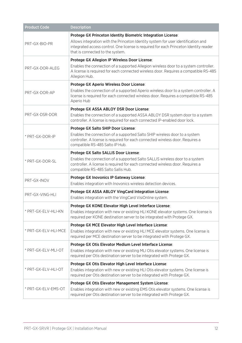| <b>Product Code</b>  | <b>Description</b>                                                                                                                                                                                                                                                             |
|----------------------|--------------------------------------------------------------------------------------------------------------------------------------------------------------------------------------------------------------------------------------------------------------------------------|
| PRT-GX-BIO-PR        | Protege GX Princeton Identity Biometric Integration License:<br>Allows integration with the Princeton Identity system for user identification and<br>integrated access control. One license is required for each Princeton Identity reader<br>that is connected to the system. |
| PRT-GX-DOR-ALEG      | Protege GX Allegion IP Wireless Door License:<br>Enables the connection of a supported Allegion wireless door to a system controller.<br>A license is required for each connected wireless door. Requires a compatible RS-485<br>Allegion Hub.                                 |
| PRT-GX-DOR-AP        | Protege GX Aperio Wireless Door License:<br>Enables the connection of a supported Aperio wireless door to a system controller. A<br>license is required for each connected wireless door. Requires a compatible RS-485<br>Aperio Hub                                           |
| PRT-GX-DSR-DOR       | Protege GX ASSA ABLOY DSR Door License:<br>Enables the connection of a supported ASSA ABLOY DSR system door to a system<br>controller. A license is required for each connected IP-enabled door lock.                                                                          |
| * PRT-GX-DOR-IP      | Protege GX Salto SHIP Door License:<br>Enables the connection of a supported Salto SHIP wireless door to a system<br>controller. A license is required for each connected wireless door. Requires a<br>compatible RS-485 Salto IP Hub.                                         |
| * PRT-GX-DOR-SL      | Protege GX Salto SALLIS Door License:<br>Enables the connection of a supported Salto SALLIS wireless door to a system<br>controller. A license is required for each connected wireless door. Requires a<br>compatible RS-485 Salto Sallis Hub.                                 |
| PRT-GX-INOV          | Protege GX Inovonics IP Gateway License:<br>Enables integration with Inovonics wireless detection devices.                                                                                                                                                                     |
| PRT-GX-VING-HLI      | Protege GX ASSA ABLOY VingCard Integration License:<br>Enables integration with the VingCard VisiOnline system.                                                                                                                                                                |
| * PRT-GX-ELV-HLI-KN  | Protege GX KONE Elevator High Level Interface License:<br>Enables integration with new or existing HLI KONE elevator systems. One license is<br>required per KONE destination server to be integrated with Protege GX.                                                         |
| * PRT-GX-ELV-HLI-MCE | Protege GX MCE Elevator High Level Interface License:<br>Enables integration with new or existing HLI MCE elevator systems. One license is<br>required per MCE destination server to be integrated with Protege GX.                                                            |
| * PRT-GX-ELV-MLI-OT  | Protege GX Otis Elevator Medium Level Interface License:<br>Enables integration with new or existing MLI Otis elevator systems. One license is<br>required per Otis destination server to be integrated with Protege GX.                                                       |
| * PRT-GX-ELV-HLI-OT  | Protege GX Otis Elevator High Level Interface License:<br>Enables integration with new or existing HLI Otis elevator systems. One license is<br>required per Otis destination server to be integrated with Protege GX.                                                         |
| * PRT-GX-ELV-EMS-OT  | Protege GX Otis Elevator Management System License:<br>Enables integration with new or existing EMS Otis elevator systems. One license is<br>required per Otis destination server to be integrated with Protege GX.                                                            |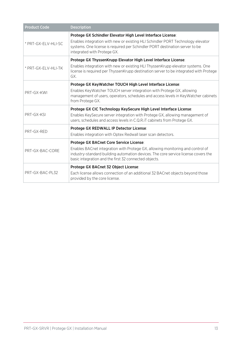| <b>Product Code</b> | <b>Description</b>                                                                                                                                                                                                                                            |
|---------------------|---------------------------------------------------------------------------------------------------------------------------------------------------------------------------------------------------------------------------------------------------------------|
| * PRT-GX-ELV-HLI-SC | Protege GX Schindler Elevator High Level Interface License:<br>Enables integration with new or existing HLI Schindler PORT Technology elevator<br>systems. One license is required per Schindler PORT destination server to be<br>integrated with Protege GX. |
| * PRT-GX-ELV-HLI-TK | Protege GX ThyssenKrupp Elevator High Level Interface License:<br>Enables integration with new or existing HLI Thyssen Krupp elevator systems. One<br>license is required per ThyssenKrupp destination server to be integrated with Protege<br>GX.            |
|                     | Protege GX KeyWatcher TOUCH High Level Interface License:                                                                                                                                                                                                     |
| PRT-GX-KWI          | Enables Key Watcher TOUCH server integration with Protege GX, allowing<br>management of users, operators, schedules and access levels in KeyWatcher cabinets<br>from Protege GX.                                                                              |
|                     | Protege GX CIC Technology KeySecure High Level Interface License:                                                                                                                                                                                             |
| PRT-GX-KSL          | Enables KeySecure server integration with Protege GX, allowing management of<br>users, schedules and access levels in C.Q.R.IT cabinets from Protege GX.                                                                                                      |
| PRT-GX-RED          | Protege GX REDWALL IP Detector License:                                                                                                                                                                                                                       |
|                     | Enables integration with Optex Redwall laser scan detectors.                                                                                                                                                                                                  |
| PRT-GX-BAC-CORE     | Protege GX BACnet Core Service License:                                                                                                                                                                                                                       |
|                     | Enables BACnet integration with Protege GX, allowing monitoring and control of<br>industry-standard building automation devices. The core service license covers the<br>basic integration and the first 32 connected objects.                                 |
|                     | Protege GX BACnet 32 Object License:                                                                                                                                                                                                                          |
| PRT-GX-BAC-PL32     | Each license allows connection of an additional 32 BACnet objects beyond those<br>provided by the core license.                                                                                                                                               |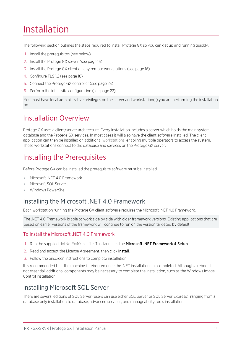# <span id="page-13-0"></span>Installation

The following section outlines the steps required to install Protege GX so you can get up and running quickly.

- 1. Install the prerequisites (see [below\)](#page-13-2)
- 2. Install the Protege GX server (see [page 16\)](#page-15-0)
- 3. Install the Protege GX client on any remote workstations (see [page 16\)](#page-15-1)
- 4. Configure TLS 1.2 (see [page 18\)](#page-17-1)
- 5. Connect the Protege GX controller (see [page 23\)](#page-22-1)
- 6. Perform the initial site configuration (see [page 22\)](#page-21-0)

<span id="page-13-1"></span>You must have local administrative privileges on the server and workstation(s) you are performing the installation on.

## Installation Overview

Protege GX uses a client/server architecture. Every installation includes a server which holds the main system database and the Protege GX services. In most cases it will also have the client software installed. The client application can then be installed on additional workstations, enabling multiple operators to access the system. These workstations connect to the database and services on the Protege GX server.

# <span id="page-13-2"></span>Installing the Prerequisites

Before Protege GX can be installed the prerequisite software must be installed.

- Microsoft NFT 4.0 Framework
- ⦁ Microsoft SQL Server
- <span id="page-13-3"></span>⦁ Windows PowerShell

### Installing the Microsoft .NET 4.0 Framework

Each workstation running the Protege GX client software requires the Microsoft .NET 4.0 Framework.

The .NET 4.0 Framework is able to work side by side with older framework versions. Existing applications that are based on earlier versions of the framework will continue to run on the version targeted by default.

#### To Install the Microsoft .NET 4.0 Framework

- 1. Run the supplied dotNetFx40.exe file. This launches the Microsoft .NET Framework 4 Setup.
- 2. Read and accept the License Agreement, then click Install.
- 3. Follow the onscreen instructions to complete installation.

It is recommended that the machine is rebooted once the .NET installation has completed. Although a reboot is not essential, additional components may be necessary to complete the installation, such as the Windows Image Control installation.

### <span id="page-13-4"></span>Installing Microsoft SQL Server

There are several editions of SQL Server (users can use either SQL Server or SQL Server Express), ranging from a database only installation to database, advanced services, and manageability tools installation.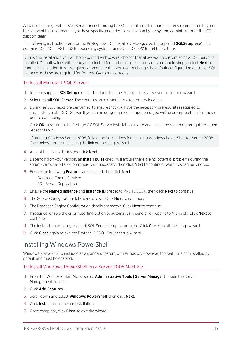Advanced settings within SQL Server or customizing the SQL installation to a particular environment are beyond the scope of this document. If you have specific enquiries, please contact your system administrator or the ICT support team.

The following instructions are for the Protege GX SQL installer (packaged as the supplied **SQLSetup.exe**). This contains SQL 2014 SP2 for 32 Bit operating systems, and SQL 2016 SP2 for 64 bit systems.

During the installation you will be presented with several choices that allow you to customize how SQL Server is installed. Default values will already be selected for all choices presented, and you should simply select **Next** to continue installation. It is strongly recommended that you do not change the default configuration details or SQL instance as these are required for Protege GX to run correctly.

#### To Install Microsoft SQL Server:

- 1. Run the supplied **SQLSetup.exe** file. This launches the Protege GX SQL Server Installation wizard.
- 2. Select Install SQL Server. The contents are extracted to a temporary location.
- 3. During setup, checks are performed to ensure that you have the necessary prerequisites required to successfully install SQL Server. If you are missing required components, you will be prompted to install these before continuing.

Click OK to return to the Protege GX SQL Server installation wizard and install the required prerequisites, then repeat Step 2.

If running Windows Server 2008, follow the instructions for installing Windows PowerShell for Server 2008 (see [below\)](#page-14-0) rather than using the link on the setup wizard.

- 4. Accept the license terms and click **Next**.
- 5. Depending on your version, an **Install Rules** check will ensure there are no potential problems during the setup. Correct any failed prerequisites if necessary, then click **Next** to continue. Warnings can be ignored.
- 6. Ensure the following Features are selected, then click Next:
	- Database Engine Services
	- SQL Server Replication
- 7. Ensure the **Named instance** and Instance ID are set to PROTEGEGX, then click **Next** to continue.
- 8. The Server Configuration details are shown. Click **Next** to continue.
- 9. The Database Engine Configuration details are shown. Click **Next** to continue.
- 10. If required, enable the error reporting option to automatically send error reports to Microsoft. Click Next to continue.
- 11. The installation will progress until SQL Server setup is complete. Click Close to exit the setup wizard.
- <span id="page-14-0"></span>12. Click Close again to exit the Protege GX SQL Server setup wizard.

### Installing Windows PowerShell

Windows PowerShell is included as a standard feature with Windows. However, the feature is not installed by default and must be enabled.

#### To Install Windows PowerShell on a Server 2008 Machine

- 1. From the Windows Start Menu, select **Administrative Tools | Server Manager** to open the Server Management console.
- 2. Click Add Features.
- 3. Scroll down and select **Windows PowerShell**, then click **Next**.
- 4. Click Install to commence installation.
- 5. Once complete, click Close to exit the wizard.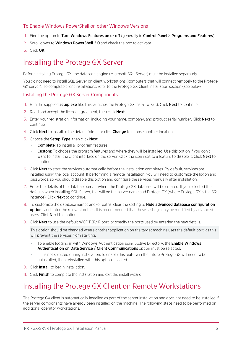#### To Enable Windows PowerShell on other Windows Versions

- 1. Find the option to Turn Windows Features on or off (generally in Control Panel > Programs and Features).
- 2. Scroll down to **Windows PowerShell 2.0** and check the box to activate.
- <span id="page-15-0"></span>3. Click OK.

# Installing the Protege GX Server

Before installing Protege GX, the database engine (Microsoft SQL Server) must be installed separately.

You do not need to install SQL Server on client workstations (computers that will connect remotely to the Protege GX server). To complete client installations, refer to the Protege GX Client Installation section (see [below\)](#page-15-1).

Installing the Protege GX Server Components:

- 1. Run the supplied setup.exe file. This launches the Protege GX install wizard. Click Next to continue.
- 2. Read and accept the license agreement, then click **Next**.
- 3. Enter your registration information, including your name, company, and product serial number. Click Next to continue.
- 4. Click **Next** to install to the default folder, or click **Change** to choose another location.
- 5. Choose the Setup Type, then click Next.
	- Complete: To install all program features
	- **Custom**: To choose the program features and where they will be installed. Use this option if you don't want to install the client interface on the server. Click the icon next to a feature to disable it. Click **Next** to continue.
- 6. Click Next to start the services automatically before the installation completes. By default, services are installed using the local account. If performing a remote installation, you will need to customize the logon and passwords, so you should disable this option and configure the services manually after installation.
- 7. Enter the details of the database server where the Protege GX database will be created. If you selected the defaults when installing SQL Server, this will be the server name and Protege GX (where Protege GX is the SQL instance). Click **Next** to continue.
- 8. To customize the database names and/or paths, clear the setting to **Hide advanced database configuration** options and enter the relevant details. It is recommended that these settings only be modified by advanced users. Click **Next** to continue.
- 9. Click **Next** to use the default WCF TCP/IP port, or specify the ports used by entering the new details.

This option should be changed where another application on the target machine uses the default port, as this will prevent the services from starting.

- To enable logging in with Windows Authentication using Active Directory, the Enable Windows Authentication on Data Service / Client Communications option must be selected.
- If it is not selected during installation, to enable this feature in the future Protege GX will need to be uninstalled, then reinstalled with this option selected.
- 10. Click **Install** to begin installation.
- <span id="page-15-1"></span>11. Click Finish to complete the installation and exit the install wizard.

## Installing the Protege GX Client on Remote Workstations

The Protege GX client is automatically installed as part of the server installation and does not need to be installed if the server components have already been installed on the machine. The following steps need to be performed on additional operator workstations.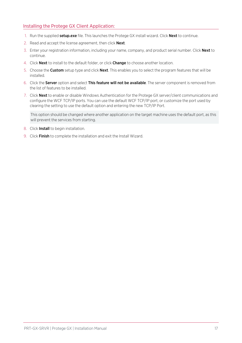#### Installing the Protege GX Client Application:

- 1. Run the supplied setup.exe file. This launches the Protege GX install wizard. Click Next to continue.
- 2. Read and accept the license agreement, then click **Next**.
- 3. Enter your registration information, including your name, company, and product serial number. Click Next to continue.
- 4. Click Next to install to the default folder, or click Change to choose another location.
- 5. Choose the Custom setup type and click Next. This enables you to select the program features that will be installed.
- 6. Click the Server option and select This feature will not be available. The server component is removed from the list of features to be installed.
- 7. Click Next to enable or disable Windows Authentication for the Protege GX server/client communications and configure the WCF TCP/IP ports. You can use the default WCF TCP/IP port, or customize the port used by clearing the setting to use the default option and entering the new TCP/IP Port.

This option should be changed where another application on the target machine uses the default port, as this will prevent the services from starting.

- 8. Click Install to begin installation.
- 9. Click Finish to complete the installation and exit the Install Wizard.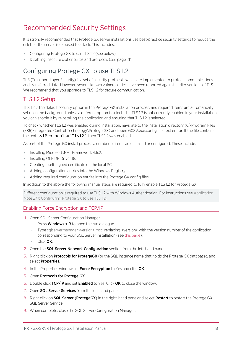# <span id="page-17-0"></span>Recommended Security Settings

It is strongly recommended that Protege GX server installations use best-practice security settings to reduce the risk that the server is exposed to attack. This includes:

- Configuring Protege GX to use TLS 1.2 (see [below\).](#page-17-1)
- <span id="page-17-1"></span>⦁ Disabling insecure cipher suites and protocols (see [page 21\).](#page-20-0)

## Configuring Protege GX to use TLS 1.2

TLS (Transport Layer Security) is a set of security protocols which are implemented to protect communications and transferred data. However, several known vulnerabilities have been reported against earlier versions of TLS. We recommend that you upgrade to TLS 1.2 for secure communication.

### TLS 1.2 Setup

TLS 1.2 is the default security option in the Protege GX installation process, and required items are automatically set up in the background unless a different option is selected. If TLS 1.2 is not currently enabled in your installation, you can enable it by reinstalling the application and ensuring that TLS 1.2 is selected.

To check whether TLS 1.2 was enabled during installation, navigate to the installation directory (C:\Program Files (x86)\Integrated Control Technology\Protege GX) and open GXSV.exe.config in a text editor. If the file contains the text sslProtocols="Tls12", then TLS 1.2 was enabled.

As part of the Protege GX install process a number of items are installed or configured. These include:

- ⦁ Installing Microsoft .NET Framework 4.6.2.
- ⦁ Installing OLE DB Driver 18.
- ⦁ Creating a self-signed certificate on the local PC.
- ⦁ Adding configuration entries into the Windows Registry.
- Adding required configuration entries into the Protege GX config files.

In addition to the above the following manual steps are required to fully enable TLS 1.2 for Protege GX.

Different configuration is required to use TLS 1.2 with Windows Authentication. For instructions see Application Note 277: Configuring Protege GX to use TLS 1.2.

#### Enabling Force Encryption and TCP/IP

- 1. Open SQL Server Configuration Manager:
	- Press **Windows + R** to open the run dialogue.
	- Type sqlservermanager<version>.msc, replacing <version> with the version number of the application corresponding to your SQL Server installation (see this [page](https://docs.microsoft.com/en-us/sql/relational-databases/sql-server-configuration-manager?view=sql-server-ver15)).
	- Click OK.
- 2. Open the **SQL Server Network Configuration** section from the left-hand pane.
- 3. Right click on **Protocols for ProtegeGX** (or the SQL instance name that holds the Protege GX database), and select **Properties**.
- 4. In the Properties window set Force Encryption to Yes and click OK.
- 5. Open Protocols for Protege GX.
- 6. Double click TCP/IP and set Enabled to Yes. Click OK to close the window.
- 7. Open **SQL Server Services** from the left-hand pane.
- 8. Right click on SQL Server (ProtegeGX) in the right-hand pane and select Restart to restart the Protege GX SQL Server Service.
- 9. When complete, close the SQL Server Configuration Manager.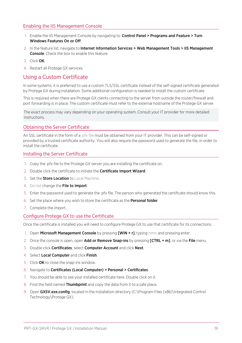#### Enabling the IIS Management Console

- 1. Enable the IIS Management Console by navigating to: Control Panel > Programs and Feature > Turn Windows Features On or Off.
- 2. In the feature list, navigate to Internet Information Services > Web Management Tools > IIS Management Console. Check the box to enable this feature.
- 3. Click OK.
- <span id="page-18-0"></span>4. Restart all Protege GX services.

#### Using a Custom Certificate

In some systems, it is preferred to use a custom TLS/SSL certificate instead of the self-signed certificate generated by Protege GX during installation. Some additional configuration is needed to install the custom certificate.

This is required when there are Protege GX clients connecting to the server from outside the router/firewall and port forwarding is in place. The custom certificate must refer to the external hostname of the Protege GX server.

The exact process may vary depending on your operating system. Consult your IT provider for more detailed instructions.

#### Obtaining the Server Certificate

An SSL certificate in the form of a .pfx file must be obtained from your IT provider. This can be self-signed or provided by a trusted certificate authority. You will also require the password used to generate the file, in order to install the certificate.

#### Installing the Server Certificate

- 1. Copy the .pfx file to the Protege GX server you are installing the certificate on.
- 2. Double click the certificate to initiate the **Certificate Import Wizard**.
- 3. Set the **Store Location** to Local Machine.
- 4. Do not change the File to Import.
- 5. Enter the password used to generate the .pfx file. The person who generated the certificate should know this.
- 6. Set the place where you wish to store the certificate as the Personal folder.
- 7. Complete the import.

#### Configure Protege GX to use the Certificate

Once the certificate is installed you will need to configure Protege GX to use that certificate for its connections.

- 1. Open Microsoft Management Console by pressing [WIN + r], typing mmc and pressing enter.
- 2. Once the console is open, open Add or Remove Snap-ins by pressing [CTRL + m], or via the File menu.
- 3. Double click Certificates, select Computer Account and click Next.
- 4. Select Local Computer and click Finish.
- 5. Click OK to close the snap-ins window.
- 6. Navigate to Certificates (Local Computer) > Personal > Certificates.
- 7. You should be able to see your installed certificate here. Double click on it.
- 8. Find the field named **Thumbprint** and copy the data from it to a safe place.
- 9. Open GXSV.exe.config, located in the installation directory (C:\Program Files (x86)\Integrated Control Technology\Protege GX).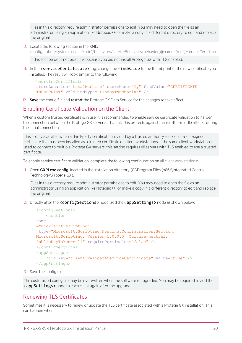Files in this directory require administrator permissions to edit. You may need to open the file as an administrator using an application like Notepad++, or make a copy in a different directory to edit and replace the original.

10. Locate the following section in the XML:

/configuration/system.serviceMode1/behaviors/serviceBehaviors/behavior[@name="md"]/serviceCertificate

If this section does not exist it is because you did not install Protege GX with TLS enabled.

11. In the <serviceCertificate> tag, change the findValue to the thumbprint of the new certificate you installed. The result will look similar to the following:

```
<serviceCertificate
storeLocation="LocalMachine" storeName="My" findValue="CERTIFICATE
THUMBPRINT" x509FindType="FindByThumbprint" />
```
12. Save the config file and restart the Protege GX Data Service for the changes to take effect.

#### Enabling Certificate Validation on the Client

When a custom trusted certificate is in use, it is recommended to enable service certificate validation to harden the connection between the Protege GX server and client. This protects against man-in-the-middle attacks during the initial connection.

This is only available when a third-party certificate provided by a trusted authority is used, or a self-signed certificate that has been installed as a trusted certificate on client workstations. If the same client workstation is used to connect to multiple Protege GX servers, this setting requires all servers with TLS enabled to use a trusted certificate.

To enable service certificate validation, complete the following configuration on all client workstations:

1. Open GXPI.exe.config, located in the installation directory (C:\Program Files (x86)\Integrated Control Technology\Protege GX).

Files in this directory require administrator permissions to edit. You may need to open the file as an administrator using an application like Notepad++, or make a copy in a different directory to edit and replace the original.

2. Directly after the <configSections> node, add the <appSettings> node as shown below:

```
<configSections>
    <section
name
="microsoft.scripting"
 type="Microsoft.Scripting.Hosting.Configuration.Section,
Microsoft.Scripting, Version=1.0.0.0, Culture=neutral,
PublicKeyToken=null" requirePermission="false" />
</configSections>
<appSettings>
    <add key="client.validateServiceCertificate" value="true" />
</appSettings>
```
3. Save the config file.

The customized config file may be overwritten when the software is upgraded. You may be required to add the <appSettings> node to each client again after the upgrade.

#### Renewing TLS Certificates

Sometimes it is necessary to renew or update the TLS certificate associated with a Protege GX installation. This can happen when: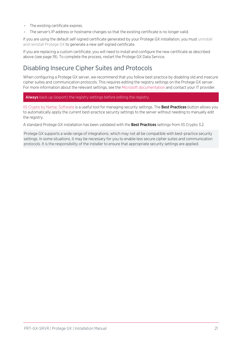- ⦁ The existing certificate expires.
- ⦁ The server's IP address or hostname changes so that the existing certificate is no longer valid.

If you are using the default self-signed certificate generated by your Protege GX installation, you must uninstall and reinstall Protege GX to generate a new self-signed certificate.

<span id="page-20-0"></span>If you are replacing a custom certificate, you will need to install and configure the new certificate as described above (see [page 19\)](#page-18-0). To complete the process, restart the Protege GX Data Service.

### Disabling Insecure Cipher Suites and Protocols

When configuring a Protege GX server, we recommend that you follow best practice by disabling old and insecure cipher suites and communication protocols. This requires editing the registry settings on the Protege GX server. For more information about the relevant settings, see the Microsoft [documentation](https://docs.microsoft.com/en-us/windows-server/security/tls/tls-registry-settings) and contact your IT provider.

#### Always back up (export) the registry settings before editing the registry.

IIS Crypto by Nartac [Software](https://www.nartac.com/Products/IISCrypto/) is a useful tool for managing security settings. The Best Practices button allows you to automatically apply the current best-practice security settings to the server without needing to manually edit the registry.

A standard Protege GX installation has been validated with the Best Practices settings from IIS Crypto 3.2.

Protege GX supports a wide range of integrations, which may not all be compatible with best-practice security settings. In some situations, it may be necessary for you to enable less secure cipher suites and communication protocols. It is the responsibility of the installer to ensure that appropriate security settings are applied.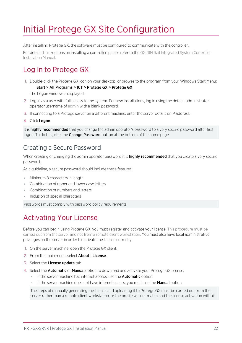# <span id="page-21-0"></span>Initial Protege GX Site Configuration

After installing Protege GX, the software must be configured to communicate with the controller.

<span id="page-21-1"></span>For detailed instructions on installing a controller, please refer to the GX DIN Rail Integrated System Controller Installation Manual.

# Log In to Protege GX

1. Double-click the Protege GX icon on your desktop, or browse to the program from your Windows Start Menu: Start > All Programs > ICT > Protege GX > Protege GX

The Logon window is displayed.

- 2. Log in as a user with full access to the system. For new installations, log in using the default administrator operator username of admin with a blank password.
- 3. If connecting to a Protege server on a different machine, enter the server details or IP address.
- 4. Click Logon.

<span id="page-21-2"></span>It is highly recommended that you change the admin operator's password to a very secure password after first logon. To do this, click the **Change Password** button at the bottom of the home page.

### Creating a Secure Password

When creating or changing the admin operator password it is **highly recommended** that you create a very secure password.

As a guideline, a secure password should include these features:

- ⦁ Minimum 8 characters in length
- ⦁ Combination of upper and lower case letters
- ⦁ Combination of numbers and letters
- ⦁ Inclusion of special characters

<span id="page-21-3"></span>Passwords must comply with password policy requirements.

# Activating Your License

Before you can begin using Protege GX, you must register and activate your license. This procedure must be carried out from the server and not from a remote client workstation. You must also have local administrative privileges on the server in order to activate the license correctly.

- 1. On the server machine, open the Protege GX client.
- 2. From the main menu, select **About | License**.
- 3. Select the License update tab.
- 4. Select the **Automatic** or **Manual** option to download and activate your Protege GX license:
	- If the server machine has internet access, use the **Automatic** option.
	- If the server machine does not have internet access, you must use the **Manual** option.

The steps of manually generating the license and uploading it to Protege GX must be carried out from the server rather than a remote client workstation, or the profile will not match and the license activation will fail.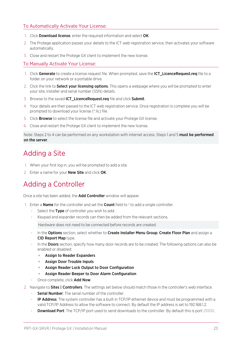#### To Automatically Activate Your License:

- 1. Click **Download license**, enter the required information and select OK.
- 2. The Protege application passes your details to the ICT web registration service, then activates your software automatically.
- 3. Close and restart the Protege GX client to implement the new license.

#### To Manually Activate Your License:

- 1. Click Generate to create a license request file. When prompted, save the ICT\_LicenceRequest.req file to a folder on your network or a portable drive.
- 2. Click the link to **Select your licensing options**. This opens a webpage where you will be prompted to enter your site, installer and serial number (SSN) details.
- 3. Browse to the saved **ICT\_LicenceRequest.req** file and click Submit.
- 4. Your details are then passed to the ICT web registration service. Once registration is complete you will be prompted to download your license (\*.lic) file.
- 5. Click Browse to select the license file and activate your Protege GX license.
- 6. Close and restart the Protege GX client to implement the new license.

<span id="page-22-0"></span>Note: Steps 2 to 4 can be performed on any workstation with internet access. Steps 1 and 5 must be performed on the server.

# Adding a Site

- 1. When your first log in, you will be prompted to add a site.
- <span id="page-22-1"></span>2. Enter a name for your **New Site** and click OK.

# Adding a Controller

Once a site has been added, the **Add Controller** window will appear.

- 1. Enter a **Name** for the controller and set the **Count** field to 1 to add a single controller.
	- Select the Type of controller you wish to add.
	- Keypad and expander records can then be added from the relevant sections.

Hardware does not need to be connected before records are created.

- In the Options section, select whether to Create Installer Menu Group, Create Floor Plan and assign a CID Report Map type.
- In the Doors section, specify how many door records are to be created. The following options can also be enabled or disabled:
	- Assign to Reader Expanders
	- Assign Door Trouble Inputs
	- Assign Reader Lock Output to Door Configuration
	- Assign Reader Beeper to Door Alarm Configuration
- Once complete, click Add Now.
- 2. Navigate to **Sites | Controllers**. The settings set below should match those in the controller's web interface.
	- Serial Number: The serial number of the controller.
	- IP Address: The system controller has a built in TCP/IP ethernet device and must be programmed with a valid TCP/IP Address to allow the software to connect. By default the IP address is set to 192.168.1.2.
	- **Download Port:** The TCP/IP port used to send downloads to the controller. By default this is port 21000.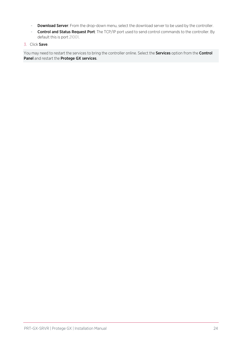- Download Server: From the drop-down menu, select the download server to be used by the controller.
- Control and Status Request Port: The TCP/IP port used to send control commands to the controller. By default this is port 21001.

#### 3. Click Save.

You may need to restart the services to bring the controller online. Select the **Services** option from the **Control** Panel and restart the Protege GX services.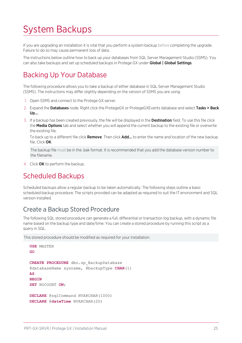# <span id="page-24-0"></span>System Backups

If you are upgrading an installation it is vital that you perform a system backup before completing the upgrade. Failure to do so may cause permanent loss of data.

<span id="page-24-1"></span>The instructions below outline how to back up your databases from SQL Server Management Studio (SSMS). You can also take backups and set up scheduled backups in Protege GX under Global | Global Settings.

# Backing Up Your Database

The following procedure allows you to take a backup of either database in SQL Server Management Studio (SSMS). The instructions may differ slightly depending on the version of SSMS you are using.

- 1. Open SSMS and connect to the Protege GX server.
- 2. Expand the Databases node. Right click the ProtegeGX or ProtegeGXEvents database and select Tasks > Back Up....
- 3. If a backup has been created previously, the file will be displayed in the Destination field. To use this file click the **Media Options** tab and select whether you will append the current backup to the existing file or overwrite the existing file.

To back up to a different file click Remove. Then click Add... to enter the name and location of the new backup file. Click OK.

The backup file must be in the .bak format. It is recommended that you add the database version number to the filename.

<span id="page-24-2"></span>4. Click OK to perform the backup.

## Scheduled Backups

Scheduled backups allow a regular backup to be taken automatically. The following steps outline a basic scheduled backup procedure. The scripts provided can be adapted as required to suit the IT environment and SQL version installed.

### <span id="page-24-3"></span>Create a Backup Stored Procedure

The following SQL stored procedure can generate a full, differential or transaction log backup, with a dynamic file name based on the backup type and date/time. You can create a stored procedure by running this script as a query in SQL.

This stored procedure should be modified as required for your installation.

```
USE MASTER
GO
CREATE PROCEDURE dbo.sp_BackupDatabase
@databaseName sysname, @backupType CHAR(1)
AS
BEGIN
SET NOCOUNT ON;
DECLARE @sqlCommand NVARCHAR(1000)
DECLARE @dateTime NVARCHAR(20)
```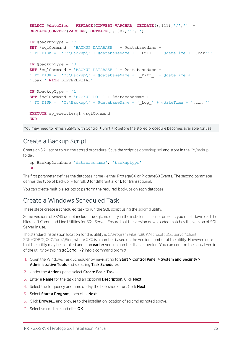```
SELECT @dateTime = REPLACE(CONVERT(VARCHAR, GETDATE(),111),'/','') +
REPLACE(CONVERT(VARCHAR, GETDATE(),108),':','')
IF @backupType = 'F'
SET @sqlCommand = 'BACKUP DATABASE ' + @databaseName +
' TO DISK = ''C:\Backup\' + @databaseName + '_Full_' + @dateTime + '.bak'''
IF @backupType = 'D'
SET @sqlCommand = 'BACKUP DATABASE ' + @databaseName +
' TO DISK = ''C:\Backup\' + @databaseName + ' <code>Diff</code> ' + @dateTime +
'.bak'' WITH DIFFERENTIAL'
IF @backupType = 'L'
SET @sqlCommand = 'BACKUP LOG ' + @databaseName +
' TO DISK = ''C:\Backup\' + @databaseName + '_Log_' + @dateTime + '.trn'''
EXECUTE sp_executesql @sqlCommand
END
```
<span id="page-25-0"></span>You may need to refresh SSMS with Control + Shift + R before the stored procedure becomes available for use.

### Create a Backup Script

Create an SQL script to run the stored procedure. Save the script as dbbackup.sql and store in the C:\Backup folder.

```
sp BackupDatabase 'databasename', 'backuptype'
GO
```
The first parameter defines the database name - either ProtegeGX or ProtegeGXEvents. The second parameter defines the type of backup: F for full, D for differential or L for transactional.

<span id="page-25-1"></span>You can create multiple scripts to perform the required backups on each database.

### Create a Windows Scheduled Task

These steps create a scheduled task to run the SQL script using the sqlcmd utility.

Some versions of SSMS do not include the sqlcmd utility in the installer. If it is not present, you must download the Microsoft Command Line Utilities for SQL Server. Ensure that the version downloaded matches the version of SQL Server in use.

The standard installation location for this utility is C:\Program Files (x86)\Microsoft SQL Server\Client SDK\ODBC\XXX\Tools\Binn, where XXX is a number based on the version number of the utility. However, note that the utility may be installed under an **earlier** version number than expected. You can confirm the actual version of the utility by typing  $sqlcmd$  -? into a command prompt.

- 1. Open the Windows Task Scheduler by navigating to Start > Control Panel > System and Security > Administrative Tools and selecting Task Scheduler.
- 2. Under the Actions pane, select Create Basic Task....
- 3. Enter a Name for the task and an optional Description. Click Next.
- 4. Select the frequency and time of day the task should run. Click **Next**.
- 5. Select Start a Program, then click Next.
- 6. Click Browse... and browse to the installation location of sqlcmd as noted above.
- 7. Select sqlcmd.exe and click OK.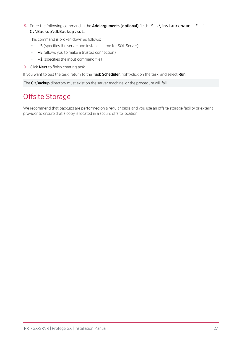#### 8. Enter the following command in the Add arguments (optional) field: -S . \instancename -E -i C:\Backup\dbBackup.sql.

This command is broken down as follows:

- -S (specifies the server and instance name for SQL Server)
- -E (allows you to make a trusted connection)
- $-i$  (specifies the input command file)
- 9. Click **Next** to finish creating task.

If you want to test the task, return to the Task Scheduler, right-click on the task, and select Run.

<span id="page-26-0"></span>The C:\Backup directory must exist on the server machine, or the procedure will fail.

# Offsite Storage

We recommend that backups are performed on a regular basis and you use an offsite storage facility or external provider to ensure that a copy is located in a secure offsite location.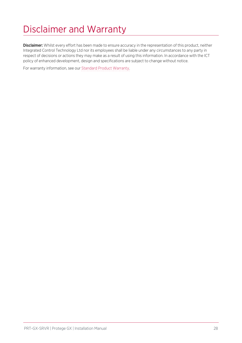# <span id="page-27-0"></span>Disclaimer and Warranty

Disclaimer: Whilst every effort has been made to ensure accuracy in the representation of this product, neither Integrated Control Technology Ltd nor its employees shall be liable under any circumstances to any party in respect of decisions or actions they may make as a result of using this information. In accordance with the ICT policy of enhanced development, design and specifications are subject to change without notice.

For warranty information, see our Standard Product [Warranty.](https://www.ict.co/Standard-Product-Warranty)